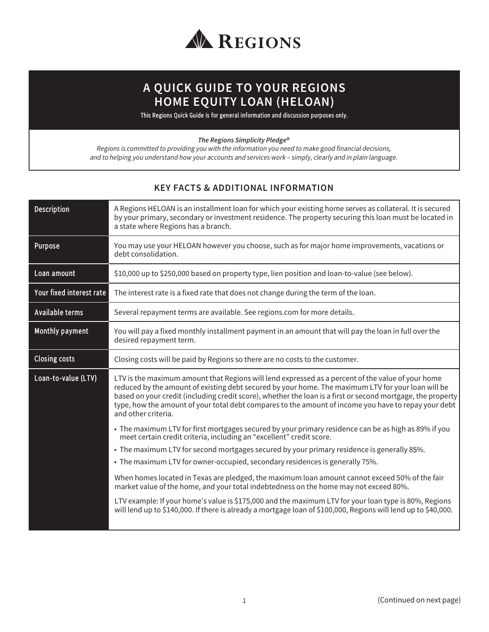

## **A QUICK GUIDE TO YOUR REGIONS HOME EQUITY LOAN (HELOAN)**

This Regions Quick Guide is for general information and discussion purposes only.

*The Regions Simplicity Pledge®*

*Regions is committed to providing you with the information you need to make good financial decisions, and to helping you understand how your accounts and services work – simply, clearly and in plain language.*

## **KEY FACTS & ADDITIONAL INFORMATION**

| Description              | A Regions HELOAN is an installment loan for which your existing home serves as collateral. It is secured<br>by your primary, secondary or investment residence. The property securing this loan must be located in<br>a state where Regions has a branch.                                                                                                                                                                                             |
|--------------------------|-------------------------------------------------------------------------------------------------------------------------------------------------------------------------------------------------------------------------------------------------------------------------------------------------------------------------------------------------------------------------------------------------------------------------------------------------------|
| Purpose                  | You may use your HELOAN however you choose, such as for major home improvements, vacations or<br>debt consolidation.                                                                                                                                                                                                                                                                                                                                  |
| Loan amount              | \$10,000 up to \$250,000 based on property type, lien position and loan-to-value (see below).                                                                                                                                                                                                                                                                                                                                                         |
| Your fixed interest rate | The interest rate is a fixed rate that does not change during the term of the loan.                                                                                                                                                                                                                                                                                                                                                                   |
| Available terms          | Several repayment terms are available. See regions.com for more details.                                                                                                                                                                                                                                                                                                                                                                              |
| Monthly payment          | You will pay a fixed monthly installment payment in an amount that will pay the loan in full over the<br>desired repayment term.                                                                                                                                                                                                                                                                                                                      |
| <b>Closing costs</b>     | Closing costs will be paid by Regions so there are no costs to the customer.                                                                                                                                                                                                                                                                                                                                                                          |
| Loan-to-value (LTV)      | LTV is the maximum amount that Regions will lend expressed as a percent of the value of your home<br>reduced by the amount of existing debt secured by your home. The maximum LTV for your loan will be<br>based on your credit (including credit score), whether the loan is a first or second mortgage, the property<br>type, how the amount of your total debt compares to the amount of income you have to repay your debt<br>and other criteria. |
|                          | • The maximum LTV for first mortgages secured by your primary residence can be as high as 89% if you<br>meet certain credit criteria, including an "excellent" credit score.                                                                                                                                                                                                                                                                          |
|                          | • The maximum LTV for second mortgages secured by your primary residence is generally 85%.                                                                                                                                                                                                                                                                                                                                                            |
|                          | • The maximum LTV for owner-occupied, secondary residences is generally 75%.                                                                                                                                                                                                                                                                                                                                                                          |
|                          | When homes located in Texas are pledged, the maximum loan amount cannot exceed 50% of the fair<br>market value of the home, and your total indebtedness on the home may not exceed 80%.                                                                                                                                                                                                                                                               |
|                          | LTV example: If your home's value is \$175,000 and the maximum LTV for your loan type is 80%, Regions<br>will lend up to \$140,000. If there is already a mortgage loan of \$100,000, Regions will lend up to \$40,000.                                                                                                                                                                                                                               |
|                          |                                                                                                                                                                                                                                                                                                                                                                                                                                                       |